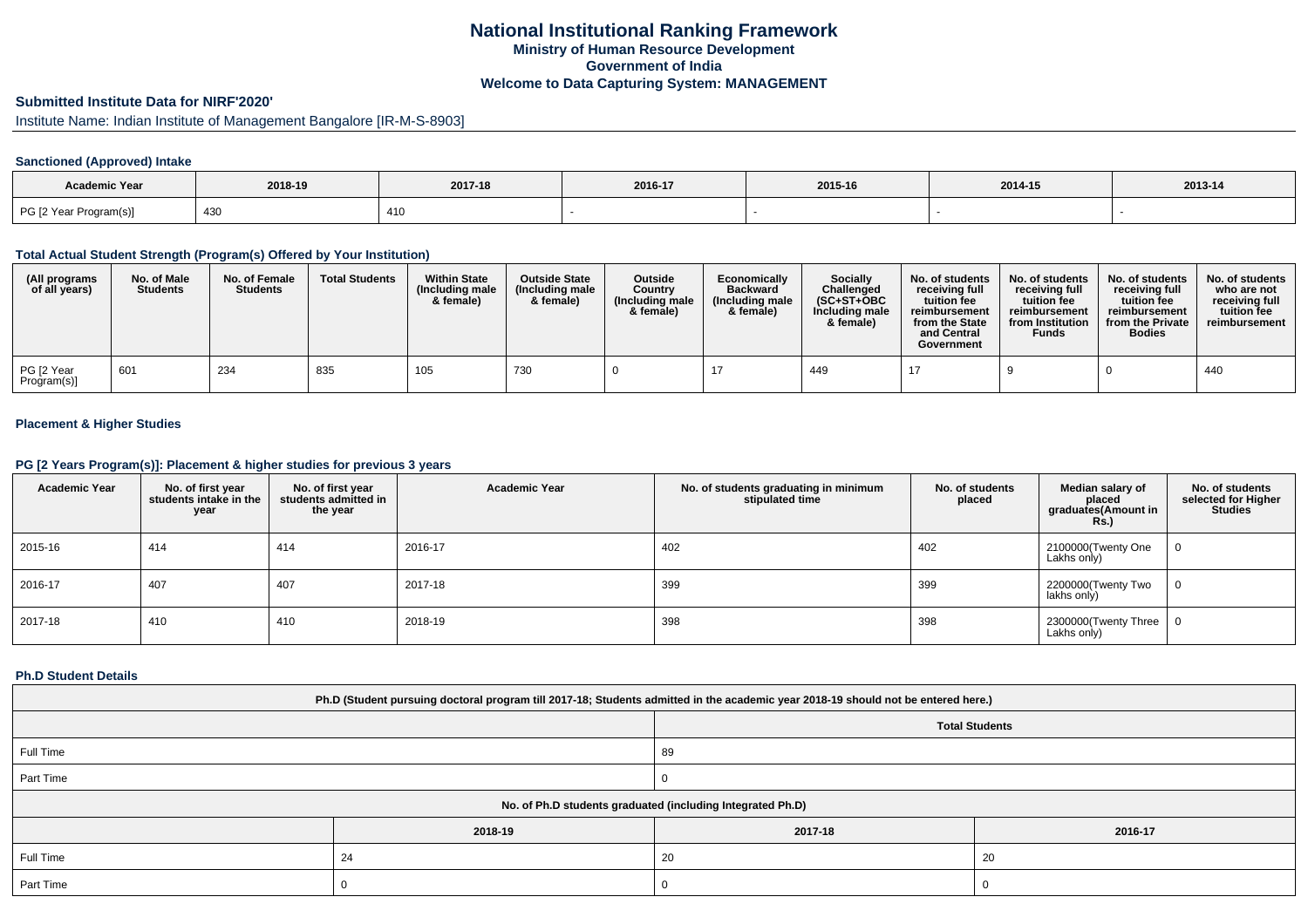# **Submitted Institute Data for NIRF'2020'**

Institute Name: Indian Institute of Management Bangalore [IR-M-S-8903]

## **Sanctioned (Approved) Intake**

| Academic Year          |         |         |         |         |         |         |
|------------------------|---------|---------|---------|---------|---------|---------|
|                        | 2018-19 | 2017-18 | 2016-17 | 2015-16 | 2014-15 | 2013-14 |
| PG [2 Year Program(s)] | 430     | 410     |         |         |         |         |

#### **Total Actual Student Strength (Program(s) Offered by Your Institution)**

| (All programs<br>of all years) | No. of Male<br><b>Students</b> | No. of Female<br><b>Students</b> | <b>Total Students</b> | <b>Within State</b><br>(Including male<br>& female) | <b>Outside State</b><br>(Including male<br>& female) | <b>Outside</b><br>Country<br>(Including male<br>& female) | Economically<br><b>Backward</b><br>(Including male<br>& female) | Socially<br>Challenged<br>$(SC+ST+OBC)$<br>Including male<br>& female) | No. of students<br>receiving full<br>tuition fee<br>reimbursement<br>from the State<br>and Central<br>Government | No. of students<br>receiving full<br>tuition fee<br>reimbursement<br>from Institution<br><b>Funds</b> | No. of students<br>receiving full<br>tuition fee<br>reimbursement<br>from the Private<br><b>Bodies</b> | No. of students<br>who are not<br>receiving full<br>tuition fee<br>reimbursement |
|--------------------------------|--------------------------------|----------------------------------|-----------------------|-----------------------------------------------------|------------------------------------------------------|-----------------------------------------------------------|-----------------------------------------------------------------|------------------------------------------------------------------------|------------------------------------------------------------------------------------------------------------------|-------------------------------------------------------------------------------------------------------|--------------------------------------------------------------------------------------------------------|----------------------------------------------------------------------------------|
| PG [2 Year<br>Program(s)]      | 601                            | 234                              | 835                   | 105                                                 | 730                                                  |                                                           |                                                                 | 449                                                                    |                                                                                                                  |                                                                                                       |                                                                                                        | 440                                                                              |

## **Placement & Higher Studies**

## **PG [2 Years Program(s)]: Placement & higher studies for previous 3 years**

| <b>Academic Year</b> | No. of first year<br>students intake in the<br>year | No. of first year<br>students admitted in<br>the year | <b>Academic Year</b> | No. of students graduating in minimum<br>stipulated time | No. of students<br>placed | Median salary of<br>placed<br>graduates(Amount in<br><b>Rs.)</b> | No. of students<br>selected for Higher<br><b>Studies</b> |
|----------------------|-----------------------------------------------------|-------------------------------------------------------|----------------------|----------------------------------------------------------|---------------------------|------------------------------------------------------------------|----------------------------------------------------------|
| 2015-16              | 414                                                 | 414                                                   | 2016-17              | 402                                                      | 402                       | 2100000(Twenty One<br>Lakhs only)                                | 0                                                        |
| 2016-17              | 407                                                 | 407                                                   | 2017-18              | 399                                                      | 399                       | 2200000(Twenty Two<br>lakhs only)                                | 0                                                        |
| 2017-18              | 410                                                 | 410                                                   | 2018-19              | 398                                                      | 398                       | 2300000(Twenty Three   0<br>Lakhs only)                          |                                                          |

### **Ph.D Student Details**

| Ph.D (Student pursuing doctoral program till 2017-18; Students admitted in the academic year 2018-19 should not be entered here.) |         |                                                            |         |  |  |  |  |  |
|-----------------------------------------------------------------------------------------------------------------------------------|---------|------------------------------------------------------------|---------|--|--|--|--|--|
| <b>Total Students</b>                                                                                                             |         |                                                            |         |  |  |  |  |  |
| Full Time<br>89                                                                                                                   |         |                                                            |         |  |  |  |  |  |
| Part Time                                                                                                                         |         |                                                            |         |  |  |  |  |  |
|                                                                                                                                   |         | No. of Ph.D students graduated (including Integrated Ph.D) |         |  |  |  |  |  |
|                                                                                                                                   | 2018-19 | 2017-18                                                    | 2016-17 |  |  |  |  |  |
| Full Time                                                                                                                         | 24      | 20                                                         | 20      |  |  |  |  |  |
| Part Time                                                                                                                         |         |                                                            |         |  |  |  |  |  |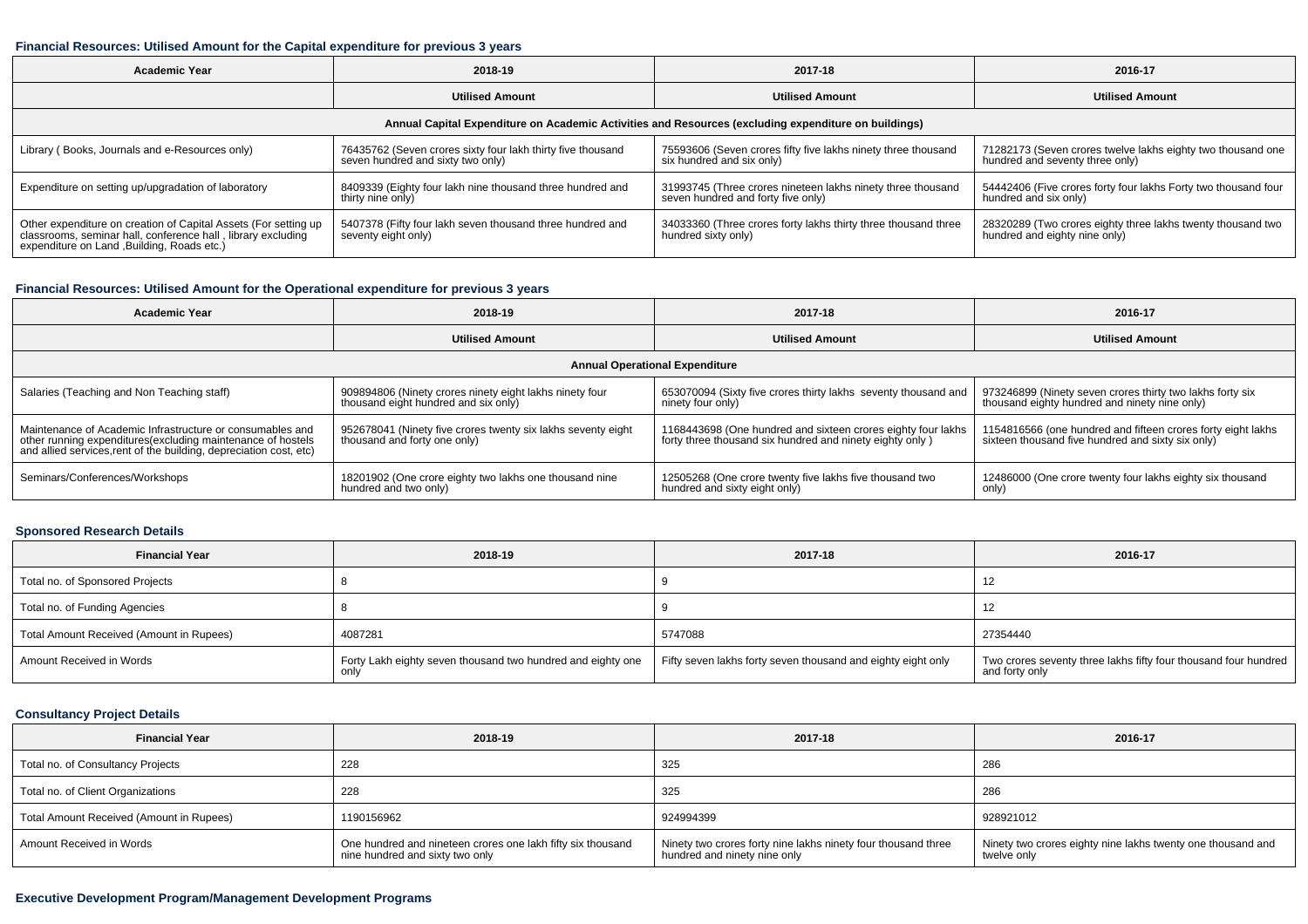## **Financial Resources: Utilised Amount for the Capital expenditure for previous 3 years**

| <b>Academic Year</b>                                                                                                                                                           | 2018-19                                                                                          | 2017-18                                                                                           | 2016-17                                                                                        |  |  |  |  |  |  |  |
|--------------------------------------------------------------------------------------------------------------------------------------------------------------------------------|--------------------------------------------------------------------------------------------------|---------------------------------------------------------------------------------------------------|------------------------------------------------------------------------------------------------|--|--|--|--|--|--|--|
|                                                                                                                                                                                | <b>Utilised Amount</b>                                                                           | <b>Utilised Amount</b>                                                                            | <b>Utilised Amount</b>                                                                         |  |  |  |  |  |  |  |
| Annual Capital Expenditure on Academic Activities and Resources (excluding expenditure on buildings)                                                                           |                                                                                                  |                                                                                                   |                                                                                                |  |  |  |  |  |  |  |
| Library (Books, Journals and e-Resources only)                                                                                                                                 | 76435762 (Seven crores sixty four lakh thirty five thousand<br>seven hundred and sixty two only) | 75593606 (Seven crores fifty five lakhs ninety three thousand<br>six hundred and six only)        | 71282173 (Seven crores twelve lakhs eighty two thousand one<br>hundred and seventy three only) |  |  |  |  |  |  |  |
| Expenditure on setting up/upgradation of laboratory                                                                                                                            | 8409339 (Eighty four lakh nine thousand three hundred and<br>thirty nine only)                   | 31993745 (Three crores nineteen lakhs ninety three thousand<br>seven hundred and forty five only) | 54442406 (Five crores forty four lakhs Forty two thousand four<br>hundred and six only)        |  |  |  |  |  |  |  |
| Other expenditure on creation of Capital Assets (For setting up<br>classrooms, seminar hall, conference hall, library excluding<br>expenditure on Land , Building, Roads etc.) | 5407378 (Fifty four lakh seven thousand three hundred and<br>seventy eight only)                 | 34033360 (Three crores forty lakhs thirty three thousand three<br>hundred sixty only)             | 28320289 (Two crores eighty three lakhs twenty thousand two<br>hundred and eighty nine only)   |  |  |  |  |  |  |  |

## **Financial Resources: Utilised Amount for the Operational expenditure for previous 3 years**

| Academic Year                                                                                                                     | 2018-19                                                      | 2017-18                                                        | 2016-17                                                      |  |  |  |  |  |  |
|-----------------------------------------------------------------------------------------------------------------------------------|--------------------------------------------------------------|----------------------------------------------------------------|--------------------------------------------------------------|--|--|--|--|--|--|
|                                                                                                                                   | <b>Utilised Amount</b>                                       | <b>Utilised Amount</b>                                         | <b>Utilised Amount</b>                                       |  |  |  |  |  |  |
| <b>Annual Operational Expenditure</b>                                                                                             |                                                              |                                                                |                                                              |  |  |  |  |  |  |
| Salaries (Teaching and Non Teaching staff)                                                                                        | 909894806 (Ninety crores ninety eight lakhs ninety four      | 653070094 (Sixty five crores thirty lakhs seventy thousand and | 973246899 (Ninety seven crores thirty two lakhs forty six    |  |  |  |  |  |  |
|                                                                                                                                   | thousand eight hundred and six only)                         | ninety four only)                                              | thousand eighty hundred and ninety nine only)                |  |  |  |  |  |  |
| Maintenance of Academic Infrastructure or consumables and                                                                         | 952678041 (Ninety five crores twenty six lakhs seventy eight | 1168443698 (One hundred and sixteen crores eighty four lakhs   | 1154816566 (one hundred and fifteen crores forty eight lakhs |  |  |  |  |  |  |
| other running expenditures(excluding maintenance of hostels<br>and allied services, rent of the building, depreciation cost, etc) | thousand and forty one only)                                 | forty three thousand six hundred and ninety eighty only)       | sixteen thousand five hundred and sixty six only)            |  |  |  |  |  |  |
| Seminars/Conferences/Workshops                                                                                                    | 18201902 (One crore eighty two lakhs one thousand nine       | 12505268 (One crore twenty five lakhs five thousand two        | 12486000 (One crore twenty four lakhs eighty six thousand    |  |  |  |  |  |  |
|                                                                                                                                   | hundred and two only)                                        | hundred and sixty eight only)                                  | only)                                                        |  |  |  |  |  |  |

## **Sponsored Research Details**

| <b>Financial Year</b>                    | 2018-19                                                     | 2017-18                                                      | 2016-17                                                                           |
|------------------------------------------|-------------------------------------------------------------|--------------------------------------------------------------|-----------------------------------------------------------------------------------|
| Total no. of Sponsored Projects          |                                                             |                                                              | 12                                                                                |
| Total no. of Funding Agencies            |                                                             |                                                              | 12                                                                                |
| Total Amount Received (Amount in Rupees) | 4087281                                                     | 5747088                                                      | 27354440                                                                          |
| Amount Received in Words                 | Forty Lakh eighty seven thousand two hundred and eighty one | Fifty seven lakhs forty seven thousand and eighty eight only | Two crores seventy three lakhs fifty four thousand four hundred<br>and forty only |

## **Consultancy Project Details**

| <b>Financial Year</b>                    | 2018-19                                                                                        | 2017-18                                                                                       | 2016-17                                                                    |
|------------------------------------------|------------------------------------------------------------------------------------------------|-----------------------------------------------------------------------------------------------|----------------------------------------------------------------------------|
| Total no. of Consultancy Projects        | 228                                                                                            | 325                                                                                           | 286                                                                        |
| Total no. of Client Organizations        | 228                                                                                            | 325                                                                                           | 286                                                                        |
| Total Amount Received (Amount in Rupees) | 1190156962                                                                                     | 924994399                                                                                     | 928921012                                                                  |
| Amount Received in Words                 | One hundred and nineteen crores one lakh fifty six thousand<br>nine hundred and sixty two only | Ninety two crores forty nine lakhs ninety four thousand three<br>hundred and ninety nine only | Ninety two crores eighty nine lakhs twenty one thousand and<br>twelve only |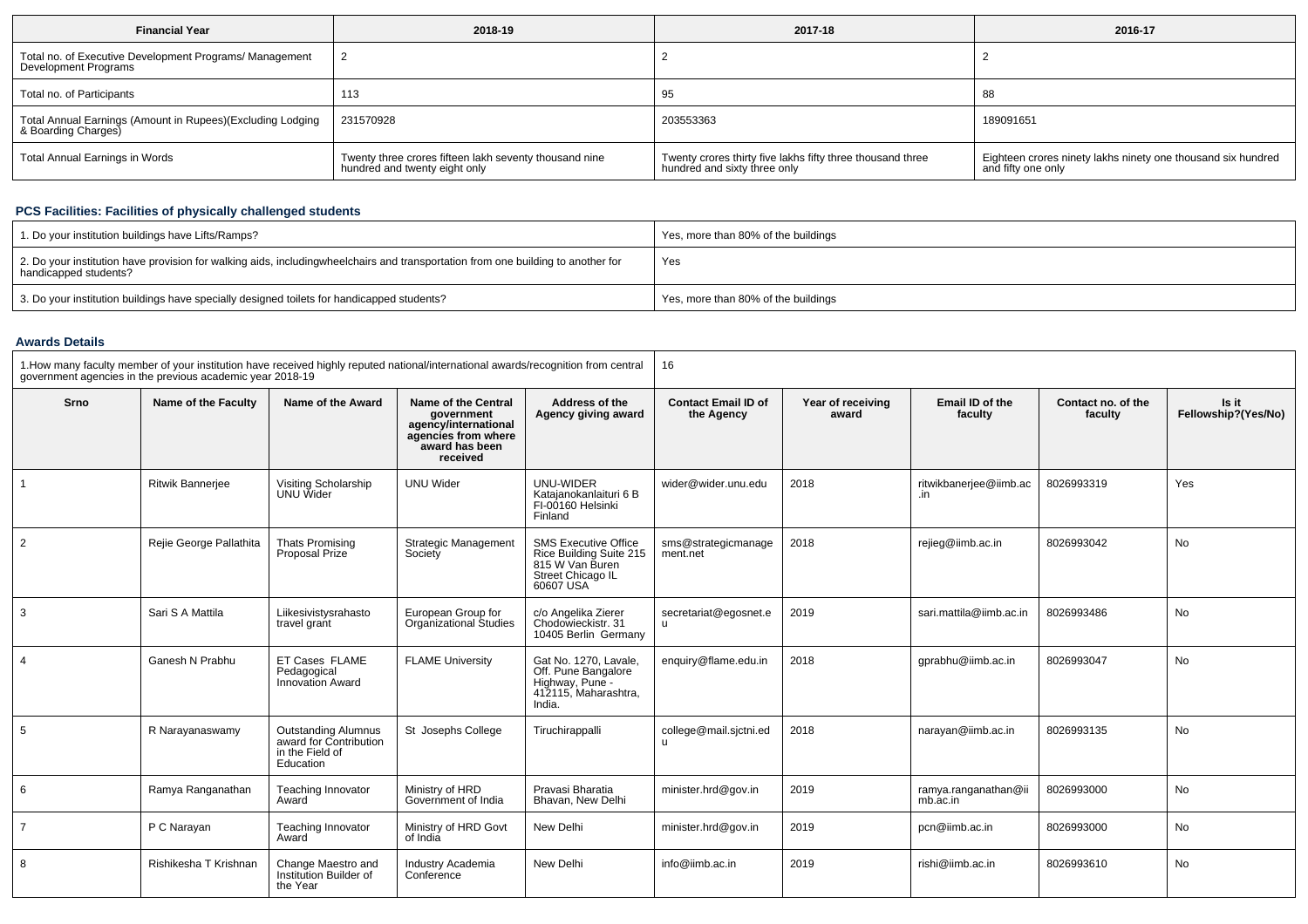| <b>Financial Year</b>                                                             | 2018-19                                                                                 | 2017-18                                                                                    | 2016-17                                                                            |
|-----------------------------------------------------------------------------------|-----------------------------------------------------------------------------------------|--------------------------------------------------------------------------------------------|------------------------------------------------------------------------------------|
| Total no. of Executive Development Programs/ Management<br>Development Programs   |                                                                                         |                                                                                            |                                                                                    |
| Total no. of Participants                                                         | 113                                                                                     | 95                                                                                         | 88                                                                                 |
| Total Annual Earnings (Amount in Rupees)(Excluding Lodging<br>& Boarding Charges) | 231570928                                                                               | 203553363                                                                                  | 189091651                                                                          |
| Total Annual Earnings in Words                                                    | Twenty three crores fifteen lakh seventy thousand nine<br>hundred and twenty eight only | Twenty crores thirty five lakhs fifty three thousand three<br>hundred and sixty three only | Eighteen crores ninety lakhs ninety one thousand six hundred<br>and fifty one only |

## **PCS Facilities: Facilities of physically challenged students**

| 1. Do your institution buildings have Lifts/Ramps?                                                                                                        | Yes, more than 80% of the buildings |
|-----------------------------------------------------------------------------------------------------------------------------------------------------------|-------------------------------------|
| 2. Do your institution have provision for walking aids, includingwheelchairs and transportation from one building to another for<br>handicapped students? | Yes                                 |
| 3. Do your institution buildings have specially designed toilets for handicapped students?                                                                | Yes, more than 80% of the buildings |

#### **Awards Details**

| 1. How many faculty member of your institution have received highly reputed national/international awards/recognition from central<br>government agencies in the previous academic year 2018-19 |                         |                                                                               | 16                                                                                                             |                                                                                                             |                                          |                            |                                  |                               |                              |
|-------------------------------------------------------------------------------------------------------------------------------------------------------------------------------------------------|-------------------------|-------------------------------------------------------------------------------|----------------------------------------------------------------------------------------------------------------|-------------------------------------------------------------------------------------------------------------|------------------------------------------|----------------------------|----------------------------------|-------------------------------|------------------------------|
| Srno                                                                                                                                                                                            | Name of the Faculty     | Name of the Award                                                             | Name of the Central<br>government<br>agency/international<br>agencies from where<br>award has been<br>received | Address of the<br>Agency giving award                                                                       | <b>Contact Email ID of</b><br>the Agency | Year of receiving<br>award | Email ID of the<br>faculty       | Contact no. of the<br>faculty | Is it<br>Fellowship?(Yes/No) |
|                                                                                                                                                                                                 | <b>Ritwik Banneriee</b> | Visiting Scholarship<br>UNU Wider                                             | <b>UNU Wider</b>                                                                                               | UNU-WIDER<br>Katajanokanlaituri 6 B<br>FI-00160 Helsinki<br>Finland                                         | wider@wider.unu.edu                      | 2018                       | ritwikbanerjee@iimb.ac<br>in     | 8026993319                    | Yes                          |
| 2                                                                                                                                                                                               | Rejie George Pallathita | <b>Thats Promising</b><br>Proposal Prize                                      | <b>Strategic Management</b><br>Society                                                                         | <b>SMS Executive Office</b><br>Rice Building Suite 215<br>815 W Van Buren<br>Street Chicago IL<br>60607 USA | sms@strategicmanage<br>ment.net          | 2018                       | rejieg@iimb.ac.in                | 8026993042                    | No                           |
| 3                                                                                                                                                                                               | Sari S A Mattila        | Liikesivistysrahasto<br>travel grant                                          | European Group for<br><b>Organizational Studies</b>                                                            | c/o Angelika Zierer<br>Chodowieckistr, 31<br>10405 Berlin Germany                                           | secretariat@egosnet.e<br>$\mathbf{u}$    | 2019                       | sari.mattila@iimb.ac.in          | 8026993486                    | <b>No</b>                    |
|                                                                                                                                                                                                 | Ganesh N Prabhu         | ET Cases FLAME<br>Pedagogical<br>Innovation Award                             | <b>FLAME University</b>                                                                                        | Gat No. 1270. Lavale.<br>Off. Pune Bangalore<br>Highway, Pune -<br>412115, Maharashtra,<br>India.           | enquiry@flame.edu.in                     | 2018                       | gprabhu@jimb.ac.in               | 8026993047                    | No                           |
| 5                                                                                                                                                                                               | R Narayanaswamy         | Outstanding Alumnus<br>award for Contribution<br>in the Field of<br>Education | St Josephs College                                                                                             | Tiruchirappalli                                                                                             | college@mail.sictni.ed<br>u              | 2018                       | narayan@iimb.ac.in               | 8026993135                    | No                           |
| 6                                                                                                                                                                                               | Ramya Ranganathan       | Teaching Innovator<br>Award                                                   | Ministry of HRD<br>Government of India                                                                         | Pravasi Bharatia<br>Bhavan, New Delhi                                                                       | minister.hrd@gov.in                      | 2019                       | ramya.ranganathan@ii<br>mb.ac.in | 8026993000                    | No                           |
| $\overline{7}$                                                                                                                                                                                  | P C Narayan             | Teaching Innovator<br>Award                                                   | Ministry of HRD Govt<br>of India                                                                               | New Delhi                                                                                                   | minister.hrd@gov.in                      | 2019                       | pcn@iimb.ac.in                   | 8026993000                    | No                           |
| 8                                                                                                                                                                                               | Rishikesha T Krishnan   | Change Maestro and<br>Institution Builder of<br>the Year                      | Industry Academia<br>Conference                                                                                | New Delhi                                                                                                   | info@iimb.ac.in                          | 2019                       | rishi@iimb.ac.in                 | 8026993610                    | No                           |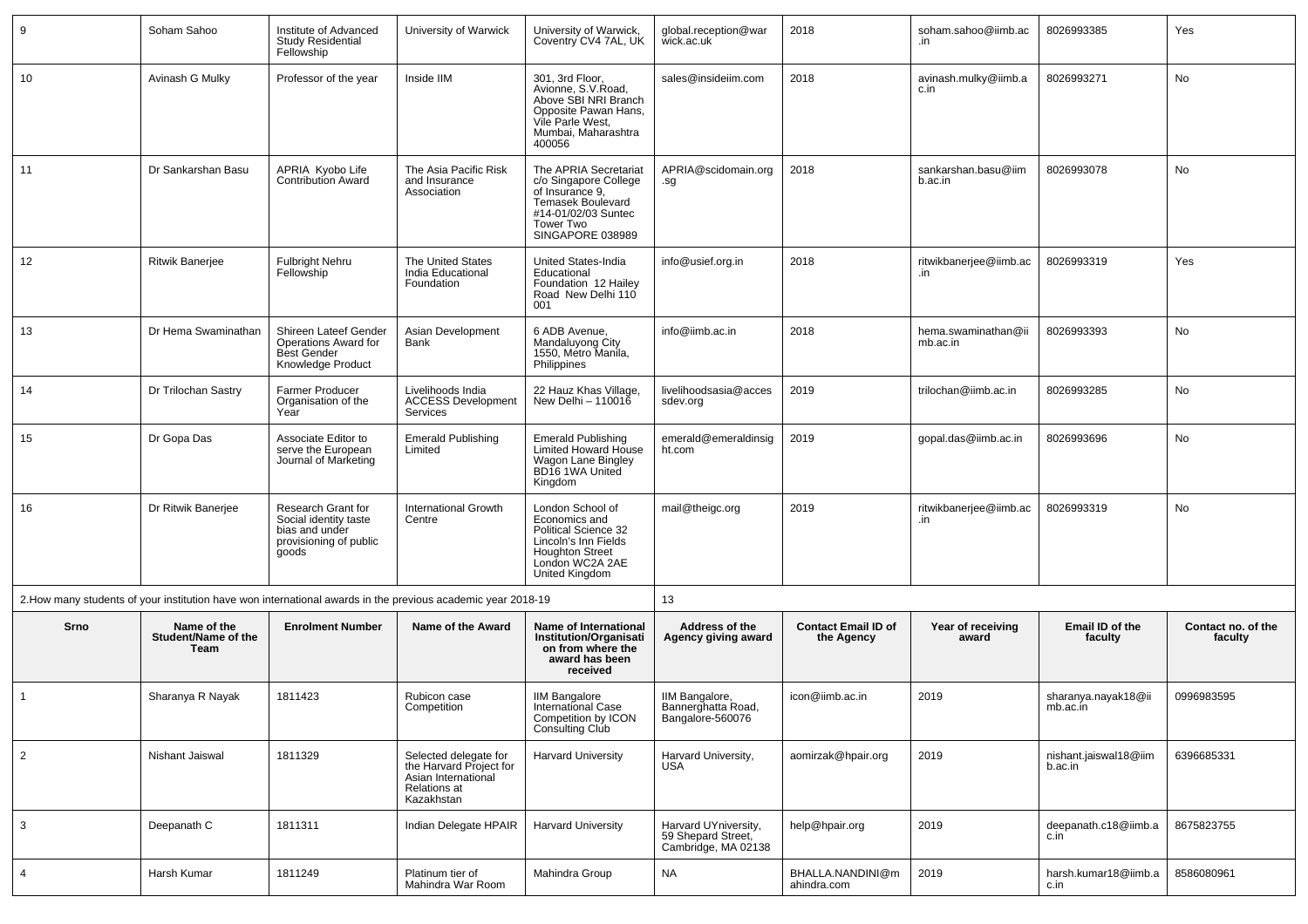| 9              | Soham Sahoo                                | Institute of Advanced<br><b>Study Residential</b><br>Fellowship                                  | University of Warwick                                                                                        | University of Warwick,<br>Coventry CV4 7AL, UK                                                                                                   | global.reception@war<br>wick.ac.uk                                | 2018                                     | soham.sahoo@iimb.ac<br>.in      | 8026993385                       | Yes                           |
|----------------|--------------------------------------------|--------------------------------------------------------------------------------------------------|--------------------------------------------------------------------------------------------------------------|--------------------------------------------------------------------------------------------------------------------------------------------------|-------------------------------------------------------------------|------------------------------------------|---------------------------------|----------------------------------|-------------------------------|
| 10             | Avinash G Mulky                            | Professor of the year                                                                            | Inside IIM                                                                                                   | 301, 3rd Floor,<br>Avionne, S.V.Road,<br>Above SBI NRI Branch<br>Opposite Pawan Hans,<br>Vile Parle West,<br>Mumbai, Maharashtra<br>400056       | sales@insideiim.com                                               | 2018                                     | avinash.mulky@iimb.a<br>c.in    | 8026993271                       | No                            |
| 11             | Dr Sankarshan Basu                         | APRIA Kyobo Life<br><b>Contribution Award</b>                                                    | The Asia Pacific Risk<br>and Insurance<br>Association                                                        | The APRIA Secretariat<br>c/o Singapore College<br>of Insurance 9,<br>Temasek Boulevard<br>#14-01/02/03 Suntec<br>Tower Two<br>SINGAPORE 038989   | APRIA@scidomain.org<br>.sg                                        | 2018                                     | sankarshan.basu@iim<br>b.ac.in  | 8026993078                       | No                            |
| 12             | <b>Ritwik Banerjee</b>                     | <b>Fulbright Nehru</b><br>Fellowship                                                             | The United States<br>India Educational<br>Foundation                                                         | United States-India<br>Educational<br>Foundation 12 Hailey<br>Road New Delhi 110<br>001                                                          | info@usief.org.in                                                 | 2018                                     | ritwikbanerjee@iimb.ac<br>.in   | 8026993319                       | Yes                           |
| 13             | Dr Hema Swaminathan                        | Shireen Lateef Gender<br>Operations Award for<br><b>Best Gender</b><br>Knowledge Product         | Asian Development<br>Bank                                                                                    | 6 ADB Avenue,<br>Mandaluyong Ćity<br>1550, Metro Manila,<br>Philippines                                                                          | info@iimb.ac.in                                                   | 2018                                     | hema.swaminathan@ii<br>mb.ac.in | 8026993393                       | No                            |
| 14             | Dr Trilochan Sastry                        | Farmer Producer<br>Organisation of the<br>Year                                                   | Livelihoods India<br><b>ACCESS Development</b><br><b>Services</b>                                            | 22 Hauz Khas Village,<br>New Delhi $-110016$                                                                                                     | livelihoodsasia@acces<br>sdev.org                                 | 2019                                     | trilochan@iimb.ac.in            | 8026993285                       | No                            |
| 15             | Dr Gopa Das                                | Associate Editor to<br>serve the European<br>Journal of Marketing                                | <b>Emerald Publishing</b><br>Limited                                                                         | <b>Emerald Publishing</b><br>Limited Howard House<br>Wagon Lane Bingley<br>BD16 1WA United<br>Kingdom                                            | emerald@emeraldinsig<br>ht.com                                    | 2019                                     | gopal.das@iimb.ac.in            | 8026993696                       | No                            |
| 16             | Dr Ritwik Banerjee                         | Research Grant for<br>Social identity taste<br>bias and under<br>provisioning of public<br>goods | <b>International Growth</b><br>Centre                                                                        | London School of<br>Economics and<br>Political Science 32<br>Lincoln's Inn Fields<br><b>Houghton Street</b><br>London WC2A 2AE<br>United Kingdom | mail@theigc.org                                                   | 2019                                     | ritwikbanerjee@iimb.ac<br>.in   | 8026993319                       | No                            |
|                |                                            |                                                                                                  | 2. How many students of your institution have won international awards in the previous academic year 2018-19 |                                                                                                                                                  | 13                                                                |                                          |                                 |                                  |                               |
| <b>Srno</b>    | Name of the<br>Student/Name of the<br>Team | <b>Enrolment Number</b>                                                                          | Name of the Award                                                                                            | Name of International<br>Institution/Organisati<br>on from where the<br>award has been<br>received                                               | Address of the<br>Agency giving award                             | <b>Contact Email ID of</b><br>the Agency | Year of receiving<br>award      | Email ID of the<br>faculty       | Contact no. of the<br>faculty |
| $\mathbf{1}$   | Sharanya R Nayak                           | 1811423                                                                                          | Rubicon case<br>Competition                                                                                  | IIM Bangalore<br>International Case<br>Competition by ICON<br>Consulting Club                                                                    | IIM Bangalore,<br>Bannerghatta Road.<br>Bangalore-560076          | icon@iimb.ac.in                          | 2019                            | sharanya.nayak18@ii<br>mb.ac.in  | 0996983595                    |
| $\overline{2}$ | Nishant Jaiswal                            | 1811329                                                                                          | Selected delegate for<br>the Harvard Project for<br>Asian International<br>Relations at<br>Kazakhstan        | <b>Harvard University</b>                                                                                                                        | Harvard University,<br><b>USA</b>                                 | aomirzak@hpair.org                       | 2019                            | nishant.jaiswal18@iim<br>b.ac.in | 6396685331                    |
| $\mathbf{3}$   | Deepanath C                                | 1811311                                                                                          | Indian Delegate HPAIR                                                                                        | <b>Harvard University</b>                                                                                                                        | Harvard UYniversity,<br>59 Shepard Street,<br>Cambridge, MA 02138 | help@hpair.org                           | 2019                            | deepanath.c18@iimb.a<br>c.in     | 8675823755                    |
| $\overline{4}$ | Harsh Kumar                                | 1811249                                                                                          | Platinum tier of<br>Mahindra War Room                                                                        | Mahindra Group                                                                                                                                   | <b>NA</b>                                                         | BHALLA.NANDINI@m<br>ahindra.com          | 2019                            | harsh.kumar18@iimb.a<br>c.in     | 8586080961                    |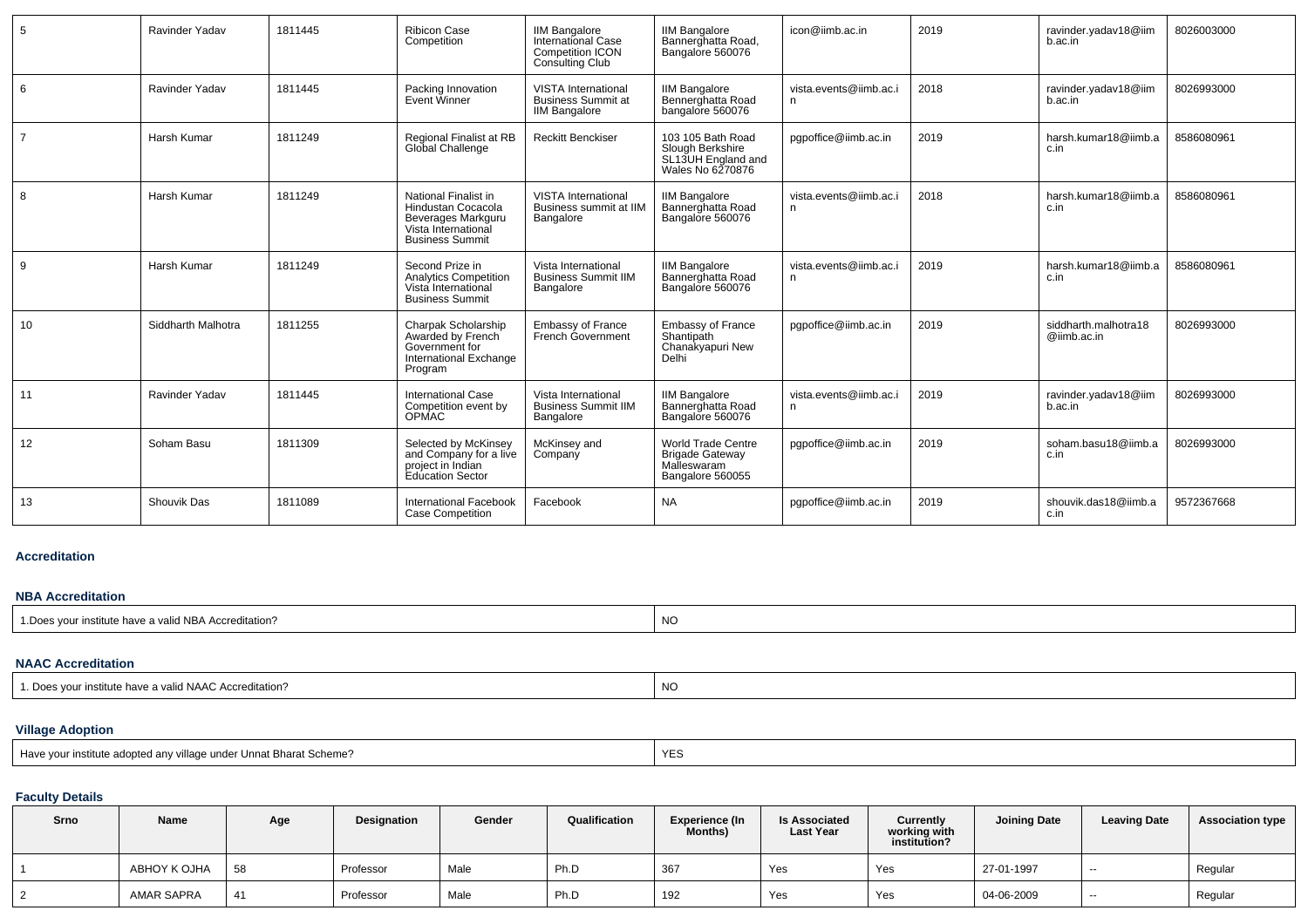| 5              | Ravinder Yadav     | 1811445 | <b>Ribicon Case</b><br>Competition                                                                                | <b>IIM Bangalore</b><br>International Case<br><b>Competition ICON</b><br>Consulting Club | <b>IIM Bangalore</b><br>Bannerghatta Road,<br>Bangalore 560076                         | icon@iimb.ac.in              | 2019 | ravinder.yadav18@iim<br>b.ac.in     | 8026003000 |
|----------------|--------------------|---------|-------------------------------------------------------------------------------------------------------------------|------------------------------------------------------------------------------------------|----------------------------------------------------------------------------------------|------------------------------|------|-------------------------------------|------------|
| 6              | Ravinder Yadav     | 1811445 | Packing Innovation<br>Event Winner                                                                                | <b>VISTA International</b><br><b>Business Summit at</b><br><b>IIM Bangalore</b>          | <b>IIM Bangalore</b><br>Bennerghatta Road<br>bangalore 560076                          | vista.events@iimb.ac.i<br>n  | 2018 | ravinder.yadav18@iim<br>b.ac.in     | 8026993000 |
| $\overline{7}$ | Harsh Kumar        | 1811249 | Regional Finalist at RB<br>Global Challenge                                                                       | <b>Reckitt Benckiser</b>                                                                 | 103 105 Bath Road<br>Slough Berkshire<br>SL13UH England and<br>Wales No 6270876        | pqpoffice@iimb.ac.in         | 2019 | harsh.kumar18@iimb.a<br>c.in        | 8586080961 |
| 8              | Harsh Kumar        | 1811249 | National Finalist in<br>Hindustan Cocacola<br>Beverages Markguru<br>Vista International<br><b>Business Summit</b> | <b>VISTA International</b><br>Business summit at IIM<br>Bangalore                        | <b>IIM Bangalore</b><br>Bannerghatta Road<br>Bangalore 560076                          | vista.events@iimb.ac.i<br>n  | 2018 | harsh.kumar18@iimb.a<br>c.in        | 8586080961 |
| 9              | Harsh Kumar        | 1811249 | Second Prize in<br><b>Analytics Competition</b><br>Vista International<br><b>Business Summit</b>                  | Vista International<br><b>Business Summit IIM</b><br>Bangalore                           | <b>IIM Bangalore</b><br>Bannerghatta Road<br>Bangalore 560076                          | vista.events@iimb.ac.i<br>n. | 2019 | harsh.kumar18@iimb.a<br>c.in        | 8586080961 |
| 10             | Siddharth Malhotra | 1811255 | Charpak Scholarship<br>Awarded by French<br>Government for<br>International Exchange<br>Program                   | <b>Embassy of France</b><br>French Government                                            | <b>Embassy of France</b><br>Shantipath<br>Chanakyapuri New<br>Delhi                    | pqpoffice@iimb.ac.in         | 2019 | siddharth.malhotra18<br>@iimb.ac.in | 8026993000 |
| 11             | Ravinder Yadav     | 1811445 | <b>International Case</b><br>Competition event by<br><b>OPMAC</b>                                                 | Vista International<br><b>Business Summit IIM</b><br>Bangalore                           | <b>IIM Bangalore</b><br>Bannerghatta Road<br>Bangalore 560076                          | vista.events@iimb.ac.i<br>n  | 2019 | ravinder.yadav18@iim<br>b.ac.in     | 8026993000 |
| 12             | Soham Basu         | 1811309 | Selected by McKinsey<br>and Company for a live<br>project in Indian<br>Education Sector                           | McKinsey and<br>Company                                                                  | <b>World Trade Centre</b><br><b>Brigade Gateway</b><br>Malleswaram<br>Bangalore 560055 | pqpoffice@iimb.ac.in         | 2019 | soham.basu18@iimb.a<br>c.in         | 8026993000 |
| 13             | <b>Shouvik Das</b> | 1811089 | <b>International Facebook</b><br><b>Case Competition</b>                                                          | Facebook                                                                                 | <b>NA</b>                                                                              | pgpoffice@iimb.ac.in         | 2019 | shouvik.das18@iimb.a<br>c.in        | 9572367668 |

## **Accreditation**

## **NBA Accreditation**

| 1. Does your institute have a valid NBA Accreditation? | $\sim$ |
|--------------------------------------------------------|--------|
|                                                        | - INU  |
|                                                        |        |

## **NAAC Accreditation**

| a valid NAAC Accreditation?<br>$\Gamma$<br>100115<br>™ institute have a v | N<br>IVL |
|---------------------------------------------------------------------------|----------|
|---------------------------------------------------------------------------|----------|

# **Village Adoption**

| Hav<br>$\mathbf{r}$<br>$-$<br>Unnat Bharat Scheme?<br>am<br>.<br>. | $\cdot$ $-$<br>. |
|--------------------------------------------------------------------|------------------|
|                                                                    |                  |

## **Faculty Details**

| Srno | Name              | Age | Designation | Gender | Qualification | <b>Experience (In</b><br>Months) | <b>Is Associated</b><br><b>Last Year</b> | Currently<br>working with<br>institution? | <b>Joining Date</b> | <b>Leaving Date</b>      | <b>Association type</b> |
|------|-------------------|-----|-------------|--------|---------------|----------------------------------|------------------------------------------|-------------------------------------------|---------------------|--------------------------|-------------------------|
|      | ABHOY K OJHA      | 58  | Professor   | Male   | Ph.D          | 367                              | Yes                                      | Yes                                       | 27-01-1997          | $\overline{\phantom{a}}$ | Regular                 |
|      | <b>AMAR SAPRA</b> | 41  | Professor   | Male   | Ph.D          | 192                              | Yes                                      | Yes                                       | 04-06-2009          | $\overline{\phantom{a}}$ | Regular                 |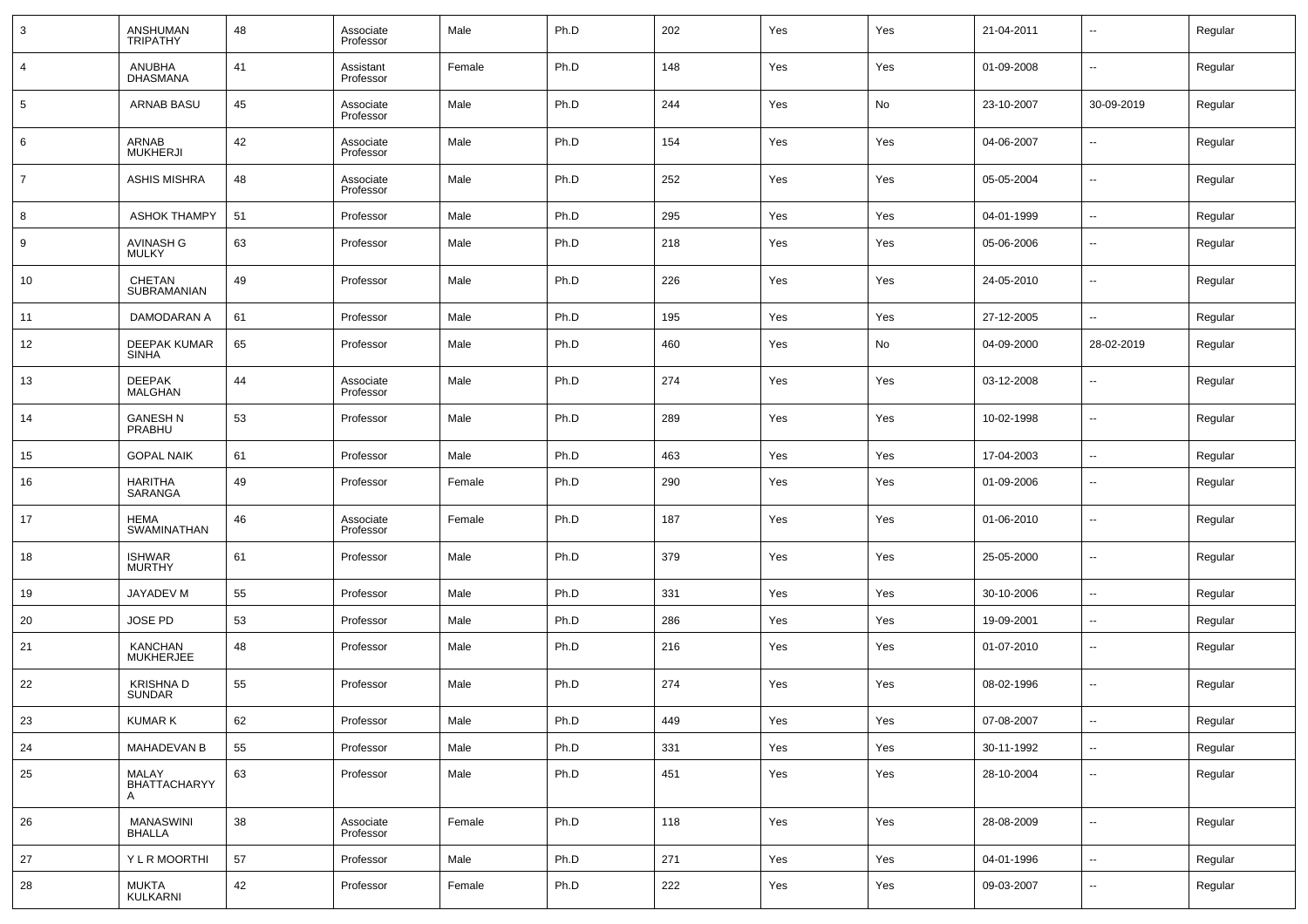| 3              | ANSHUMAN<br><b>TRIPATHY</b>         | 48 | Associate<br>Professor | Male   | Ph.D | 202 | Yes | Yes | 21-04-2011 | --                       | Regular |
|----------------|-------------------------------------|----|------------------------|--------|------|-----|-----|-----|------------|--------------------------|---------|
| 4              | <b>ANUBHA</b><br><b>DHASMANA</b>    | 41 | Assistant<br>Professor | Female | Ph.D | 148 | Yes | Yes | 01-09-2008 | $\overline{\phantom{a}}$ | Regular |
| 5              | ARNAB BASU                          | 45 | Associate<br>Professor | Male   | Ph.D | 244 | Yes | No  | 23-10-2007 | 30-09-2019               | Regular |
| 6              | ARNAB<br><b>MUKHERJI</b>            | 42 | Associate<br>Professor | Male   | Ph.D | 154 | Yes | Yes | 04-06-2007 | --                       | Regular |
| $\overline{7}$ | <b>ASHIS MISHRA</b>                 | 48 | Associate<br>Professor | Male   | Ph.D | 252 | Yes | Yes | 05-05-2004 | $\overline{\phantom{a}}$ | Regular |
| 8              | <b>ASHOK THAMPY</b>                 | 51 | Professor              | Male   | Ph.D | 295 | Yes | Yes | 04-01-1999 | $\overline{\phantom{a}}$ | Regular |
| 9              | AVINASH G<br><b>MULKY</b>           | 63 | Professor              | Male   | Ph.D | 218 | Yes | Yes | 05-06-2006 | $\overline{\phantom{a}}$ | Regular |
| 10             | CHETAN<br>SUBRAMANIAN               | 49 | Professor              | Male   | Ph.D | 226 | Yes | Yes | 24-05-2010 | $\overline{\phantom{a}}$ | Regular |
| 11             | DAMODARAN A                         | 61 | Professor              | Male   | Ph.D | 195 | Yes | Yes | 27-12-2005 | $\overline{\phantom{a}}$ | Regular |
| 12             | <b>DEEPAK KUMAR</b><br><b>SINHA</b> | 65 | Professor              | Male   | Ph.D | 460 | Yes | No  | 04-09-2000 | 28-02-2019               | Regular |
| 13             | <b>DEEPAK</b><br><b>MALGHAN</b>     | 44 | Associate<br>Professor | Male   | Ph.D | 274 | Yes | Yes | 03-12-2008 | $\overline{\phantom{a}}$ | Regular |
| 14             | <b>GANESH N</b><br>PRABHU           | 53 | Professor              | Male   | Ph.D | 289 | Yes | Yes | 10-02-1998 | $\overline{\phantom{a}}$ | Regular |
| 15             | <b>GOPAL NAIK</b>                   | 61 | Professor              | Male   | Ph.D | 463 | Yes | Yes | 17-04-2003 | --                       | Regular |
| 16             | <b>HARITHA</b><br>SARANGA           | 49 | Professor              | Female | Ph.D | 290 | Yes | Yes | 01-09-2006 | $\overline{\phantom{a}}$ | Regular |
| 17             | <b>HEMA</b><br>SWAMINATHAN          | 46 | Associate<br>Professor | Female | Ph.D | 187 | Yes | Yes | 01-06-2010 | $\overline{\phantom{a}}$ | Regular |
| 18             | <b>ISHWAR</b><br><b>MURTHY</b>      | 61 | Professor              | Male   | Ph.D | 379 | Yes | Yes | 25-05-2000 | --                       | Regular |
| 19             | JAYADEV M                           | 55 | Professor              | Male   | Ph.D | 331 | Yes | Yes | 30-10-2006 | $\overline{\phantom{a}}$ | Regular |
| 20             | JOSE PD                             | 53 | Professor              | Male   | Ph.D | 286 | Yes | Yes | 19-09-2001 | $\overline{\phantom{a}}$ | Regular |
| 21             | KANCHAN<br>MUKHERJEE                | 48 | Professor              | Male   | Ph.D | 216 | Yes | Yes | 01-07-2010 | $\overline{\phantom{a}}$ | Regular |
| 22             | <b>KRISHNAD</b><br>SUNDAR           | 55 | Professor              | Male   | Ph.D | 274 | Yes | Yes | 08-02-1996 | $\overline{\phantom{a}}$ | Regular |
| $23\,$         | <b>KUMAR K</b>                      | 62 | Professor              | Male   | Ph.D | 449 | Yes | Yes | 07-08-2007 | $\overline{\phantom{a}}$ | Regular |
| 24             | <b>MAHADEVAN B</b>                  | 55 | Professor              | Male   | Ph.D | 331 | Yes | Yes | 30-11-1992 | $\overline{\phantom{a}}$ | Regular |
| 25             | MALAY<br><b>BHATTACHARYY</b><br>A   | 63 | Professor              | Male   | Ph.D | 451 | Yes | Yes | 28-10-2004 | ۰.                       | Regular |
| 26             | MANASWINI<br><b>BHALLA</b>          | 38 | Associate<br>Professor | Female | Ph.D | 118 | Yes | Yes | 28-08-2009 | $\overline{\phantom{a}}$ | Regular |
| 27             | Y L R MOORTHI                       | 57 | Professor              | Male   | Ph.D | 271 | Yes | Yes | 04-01-1996 | $\overline{\phantom{a}}$ | Regular |
| 28             | MUKTA<br>KULKARNI                   | 42 | Professor              | Female | Ph.D | 222 | Yes | Yes | 09-03-2007 | $\overline{\phantom{a}}$ | Regular |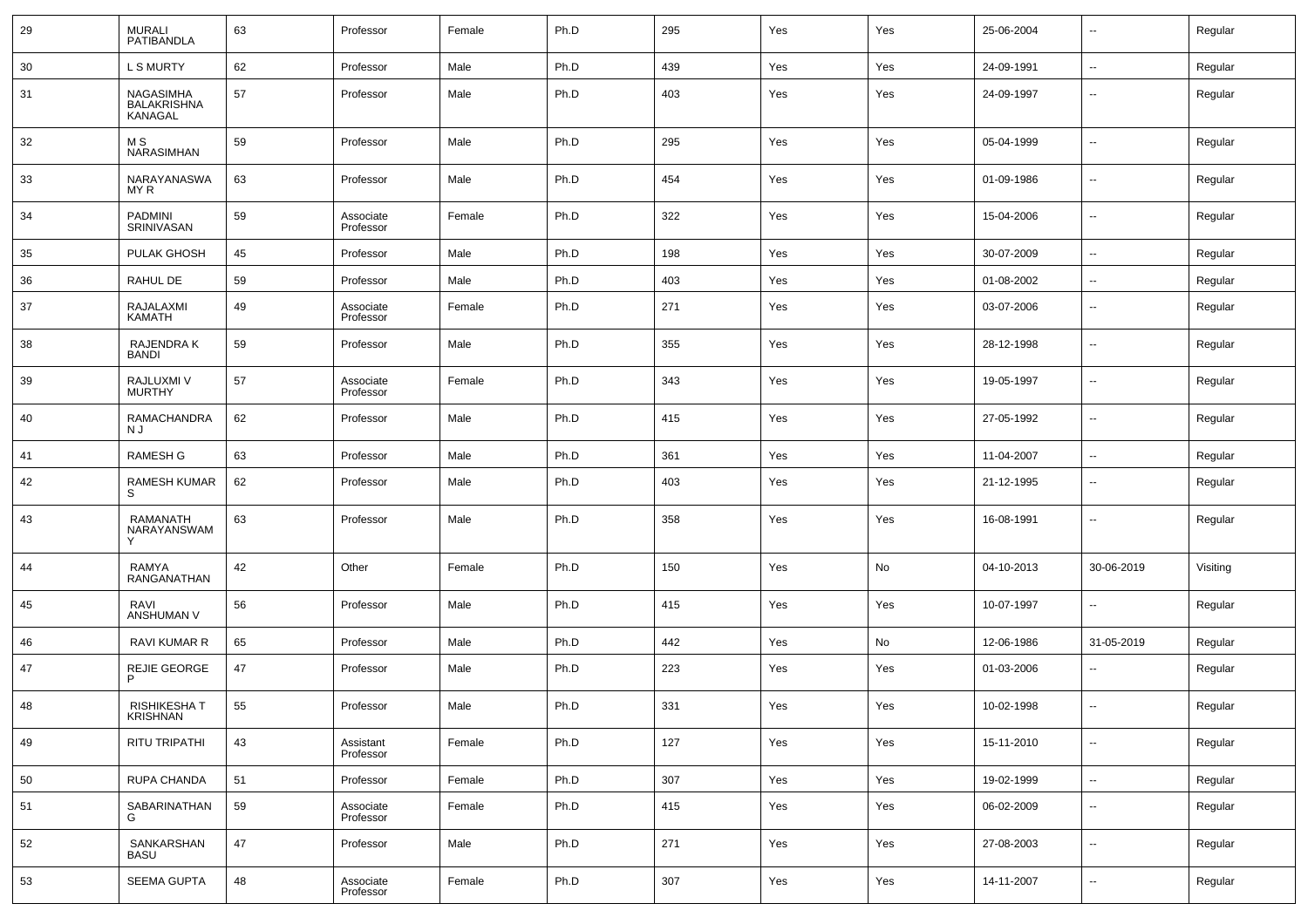| 29 | <b>MURALI</b><br>PATIBANDLA                       | 63 | Professor              | Female | Ph.D | 295 | Yes | Yes | 25-06-2004 | $\overline{\phantom{a}}$ | Regular  |
|----|---------------------------------------------------|----|------------------------|--------|------|-----|-----|-----|------------|--------------------------|----------|
| 30 | <b>L S MURTY</b>                                  | 62 | Professor              | Male   | Ph.D | 439 | Yes | Yes | 24-09-1991 | $\overline{\phantom{a}}$ | Regular  |
| 31 | <b>NAGASIMHA</b><br><b>BALAKRISHNA</b><br>KANAGAL | 57 | Professor              | Male   | Ph.D | 403 | Yes | Yes | 24-09-1997 | $\overline{\phantom{a}}$ | Regular  |
| 32 | M S<br>NARASIMHAN                                 | 59 | Professor              | Male   | Ph.D | 295 | Yes | Yes | 05-04-1999 | $\overline{\phantom{a}}$ | Regular  |
| 33 | NARAYANASWA<br>MY R                               | 63 | Professor              | Male   | Ph.D | 454 | Yes | Yes | 01-09-1986 | $\overline{\phantom{a}}$ | Regular  |
| 34 | PADMINI<br>SRINIVASAN                             | 59 | Associate<br>Professor | Female | Ph.D | 322 | Yes | Yes | 15-04-2006 | $\overline{\phantom{a}}$ | Regular  |
| 35 | PULAK GHOSH                                       | 45 | Professor              | Male   | Ph.D | 198 | Yes | Yes | 30-07-2009 | $\overline{\phantom{a}}$ | Regular  |
| 36 | RAHUL DE                                          | 59 | Professor              | Male   | Ph.D | 403 | Yes | Yes | 01-08-2002 | ۰.                       | Regular  |
| 37 | RAJALAXMI<br>KAMATH                               | 49 | Associate<br>Professor | Female | Ph.D | 271 | Yes | Yes | 03-07-2006 | $\overline{\phantom{a}}$ | Regular  |
| 38 | RAJENDRA K<br><b>BANDI</b>                        | 59 | Professor              | Male   | Ph.D | 355 | Yes | Yes | 28-12-1998 | $\overline{\phantom{a}}$ | Regular  |
| 39 | RAJLUXMI V<br>MURTHY                              | 57 | Associate<br>Professor | Female | Ph.D | 343 | Yes | Yes | 19-05-1997 | $\overline{\phantom{a}}$ | Regular  |
| 40 | RAMACHANDRA<br>N J                                | 62 | Professor              | Male   | Ph.D | 415 | Yes | Yes | 27-05-1992 | $\overline{\phantom{a}}$ | Regular  |
| 41 | <b>RAMESH G</b>                                   | 63 | Professor              | Male   | Ph.D | 361 | Yes | Yes | 11-04-2007 | $\overline{\phantom{a}}$ | Regular  |
| 42 | RAMESH KUMAR<br>S                                 | 62 | Professor              | Male   | Ph.D | 403 | Yes | Yes | 21-12-1995 | $\overline{\phantom{a}}$ | Regular  |
| 43 | RAMANATH<br>NARAYANSWAM                           | 63 | Professor              | Male   | Ph.D | 358 | Yes | Yes | 16-08-1991 | $\sim$                   | Regular  |
| 44 | RAMYA<br>RANGANATHAN                              | 42 | Other                  | Female | Ph.D | 150 | Yes | No  | 04-10-2013 | 30-06-2019               | Visiting |
| 45 | RAVI<br>ANSHUMAN V                                | 56 | Professor              | Male   | Ph.D | 415 | Yes | Yes | 10-07-1997 | $\overline{\phantom{a}}$ | Regular  |
| 46 | <b>RAVI KUMAR R</b>                               | 65 | Professor              | Male   | Ph.D | 442 | Yes | No  | 12-06-1986 | 31-05-2019               | Regular  |
| 47 | REJIE GEORGE<br>P                                 | 47 | Professor              | Male   | Ph.D | 223 | Yes | Yes | 01-03-2006 | $\overline{\phantom{a}}$ | Regular  |
| 48 | <b>RISHIKESHAT</b><br><b>KRISHNAN</b>             | 55 | Professor              | Male   | Ph.D | 331 | Yes | Yes | 10-02-1998 | $\sim$                   | Regular  |
| 49 | <b>RITU TRIPATHI</b>                              | 43 | Assistant<br>Professor | Female | Ph.D | 127 | Yes | Yes | 15-11-2010 | $\overline{\phantom{a}}$ | Regular  |
| 50 | RUPA CHANDA                                       | 51 | Professor              | Female | Ph.D | 307 | Yes | Yes | 19-02-1999 | ۰.                       | Regular  |
| 51 | SABARINATHAN<br>G                                 | 59 | Associate<br>Professor | Female | Ph.D | 415 | Yes | Yes | 06-02-2009 | ۰.                       | Regular  |
| 52 | SANKARSHAN<br><b>BASU</b>                         | 47 | Professor              | Male   | Ph.D | 271 | Yes | Yes | 27-08-2003 | $\overline{\phantom{a}}$ | Regular  |
| 53 | <b>SEEMA GUPTA</b>                                | 48 | Associate<br>Professor | Female | Ph.D | 307 | Yes | Yes | 14-11-2007 | $\overline{\phantom{a}}$ | Regular  |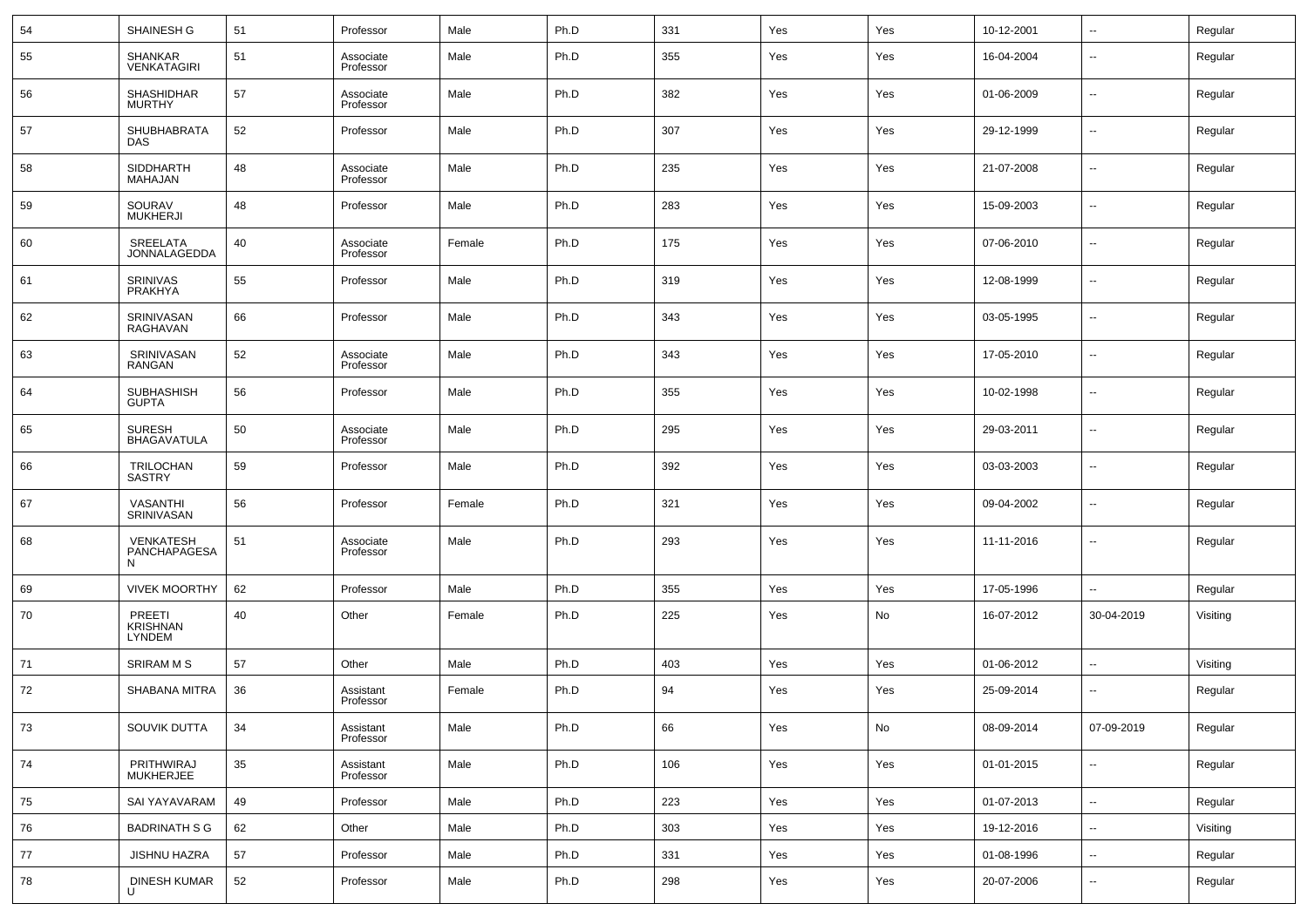| 54 | SHAINESH G                          | 51 | Professor              | Male   | Ph.D | 331 | Yes | Yes | 10-12-2001 | $\overline{\phantom{a}}$ | Regular  |
|----|-------------------------------------|----|------------------------|--------|------|-----|-----|-----|------------|--------------------------|----------|
| 55 | SHANKAR<br><b>VENKATAGIRI</b>       | 51 | Associate<br>Professor | Male   | Ph.D | 355 | Yes | Yes | 16-04-2004 | $\overline{\phantom{a}}$ | Regular  |
| 56 | <b>SHASHIDHAR</b><br><b>MURTHY</b>  | 57 | Associate<br>Professor | Male   | Ph.D | 382 | Yes | Yes | 01-06-2009 | $\overline{\phantom{a}}$ | Regular  |
| 57 | SHUBHABRATA<br><b>DAS</b>           | 52 | Professor              | Male   | Ph.D | 307 | Yes | Yes | 29-12-1999 | $\overline{\phantom{a}}$ | Regular  |
| 58 | <b>SIDDHARTH</b><br>MAHAJAN         | 48 | Associate<br>Professor | Male   | Ph.D | 235 | Yes | Yes | 21-07-2008 | $\overline{\phantom{a}}$ | Regular  |
| 59 | SOURAV<br><b>MUKHERJI</b>           | 48 | Professor              | Male   | Ph.D | 283 | Yes | Yes | 15-09-2003 | $\overline{\phantom{a}}$ | Regular  |
| 60 | SREELATA<br>JONNALAGEDDA            | 40 | Associate<br>Professor | Female | Ph.D | 175 | Yes | Yes | 07-06-2010 | $\overline{\phantom{a}}$ | Regular  |
| 61 | SRINIVAS<br>PRAKHYA                 | 55 | Professor              | Male   | Ph.D | 319 | Yes | Yes | 12-08-1999 | $\overline{\phantom{a}}$ | Regular  |
| 62 | SRINIVASAN<br><b>RAGHAVAN</b>       | 66 | Professor              | Male   | Ph.D | 343 | Yes | Yes | 03-05-1995 | $\overline{\phantom{a}}$ | Regular  |
| 63 | SRINIVASAN<br>RANGAN                | 52 | Associate<br>Professor | Male   | Ph.D | 343 | Yes | Yes | 17-05-2010 | $\overline{\phantom{a}}$ | Regular  |
| 64 | <b>SUBHASHISH</b><br><b>GUPTA</b>   | 56 | Professor              | Male   | Ph.D | 355 | Yes | Yes | 10-02-1998 | $\overline{\phantom{a}}$ | Regular  |
| 65 | <b>SURESH</b><br><b>BHAGAVATULA</b> | 50 | Associate<br>Professor | Male   | Ph.D | 295 | Yes | Yes | 29-03-2011 | $\overline{\phantom{a}}$ | Regular  |
| 66 | TRILOCHAN<br>SASTRY                 | 59 | Professor              | Male   | Ph.D | 392 | Yes | Yes | 03-03-2003 | $\overline{\phantom{a}}$ | Regular  |
| 67 | <b>VASANTHI</b><br>SRINIVASAN       | 56 | Professor              | Female | Ph.D | 321 | Yes | Yes | 09-04-2002 | $\overline{\phantom{a}}$ | Regular  |
| 68 | VENKATESH<br>PANCHAPAGESA<br>N      | 51 | Associate<br>Professor | Male   | Ph.D | 293 | Yes | Yes | 11-11-2016 | $\overline{\phantom{a}}$ | Regular  |
| 69 | <b>VIVEK MOORTHY</b>                | 62 | Professor              | Male   | Ph.D | 355 | Yes | Yes | 17-05-1996 | $\sim$                   | Regular  |
| 70 | PREETI<br>KRISHNAN<br><b>LYNDEM</b> | 40 | Other                  | Female | Ph.D | 225 | Yes | No  | 16-07-2012 | 30-04-2019               | Visiting |
| 71 | <b>SRIRAM M S</b>                   | 57 | Other                  | Male   | Ph.D | 403 | Yes | Yes | 01-06-2012 | $\sim$                   | Visiting |
| 72 | SHABANA MITRA                       | 36 | Assistant<br>Professor | Female | Ph.D | 94  | Yes | Yes | 25-09-2014 | $\overline{\phantom{a}}$ | Regular  |
| 73 | SOUVIK DUTTA                        | 34 | Assistant<br>Professor | Male   | Ph.D | 66  | Yes | No  | 08-09-2014 | 07-09-2019               | Regular  |
| 74 | PRITHWIRAJ<br><b>MUKHERJEE</b>      | 35 | Assistant<br>Professor | Male   | Ph.D | 106 | Yes | Yes | 01-01-2015 | ۰.                       | Regular  |
| 75 | SAI YAYAVARAM                       | 49 | Professor              | Male   | Ph.D | 223 | Yes | Yes | 01-07-2013 | $\overline{\phantom{a}}$ | Regular  |
| 76 | <b>BADRINATH S G</b>                | 62 | Other                  | Male   | Ph.D | 303 | Yes | Yes | 19-12-2016 | $\overline{\phantom{a}}$ | Visiting |
| 77 | <b>JISHNU HAZRA</b>                 | 57 | Professor              | Male   | Ph.D | 331 | Yes | Yes | 01-08-1996 | ۰.                       | Regular  |
| 78 | DINESH KUMAR<br>U                   | 52 | Professor              | Male   | Ph.D | 298 | Yes | Yes | 20-07-2006 | $\overline{\phantom{a}}$ | Regular  |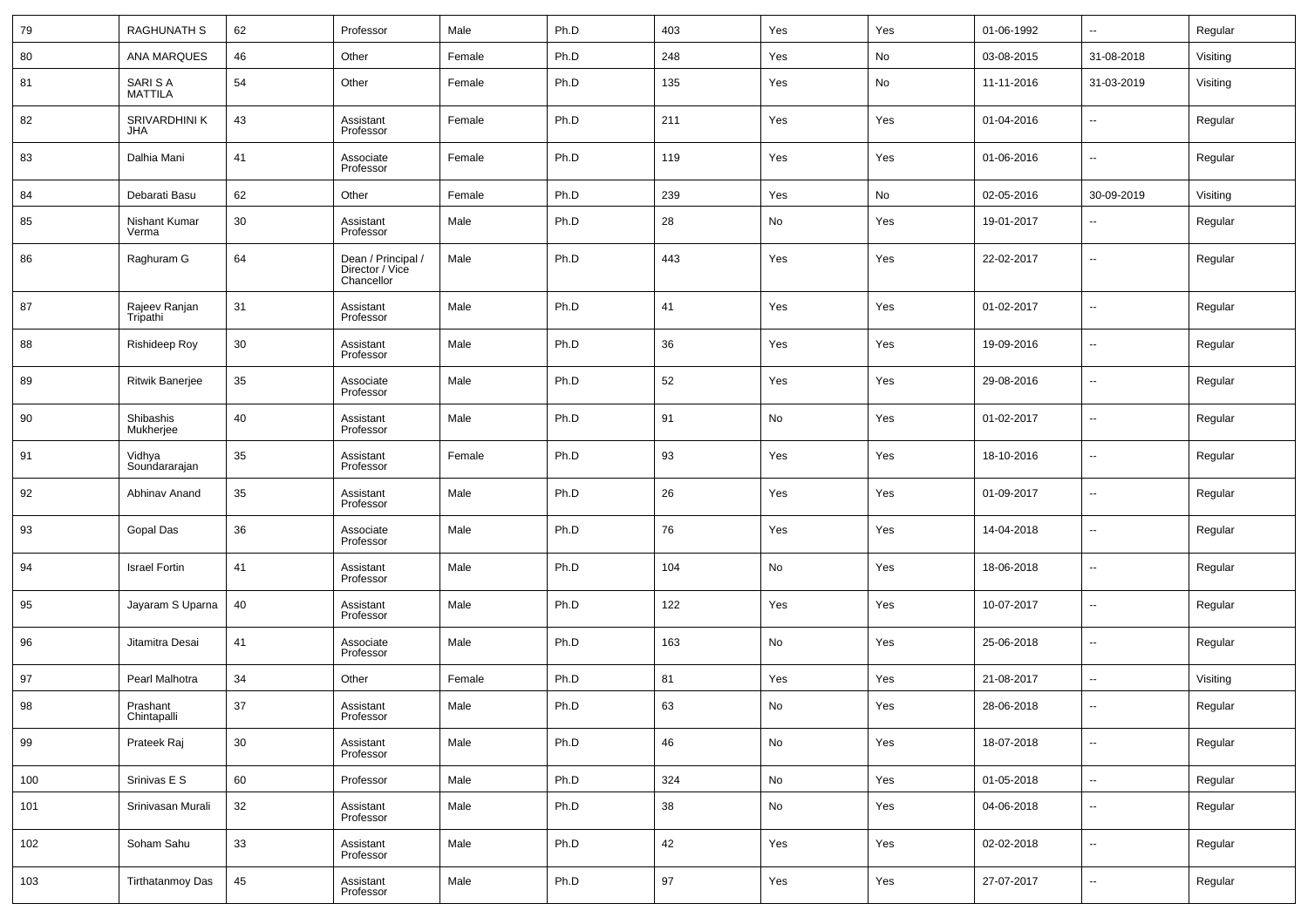| 79  | <b>RAGHUNATH S</b>          | 62 | Professor                                           | Male   | Ph.D | 403 | Yes | Yes | 01-06-1992 | $\ddotsc$                | Regular  |
|-----|-----------------------------|----|-----------------------------------------------------|--------|------|-----|-----|-----|------------|--------------------------|----------|
| 80  | <b>ANA MARQUES</b>          | 46 | Other                                               | Female | Ph.D | 248 | Yes | No  | 03-08-2015 | 31-08-2018               | Visiting |
| 81  | SARI S A<br>MATTILA         | 54 | Other                                               | Female | Ph.D | 135 | Yes | No  | 11-11-2016 | 31-03-2019               | Visiting |
| 82  | SRIVARDHINI K<br><b>JHA</b> | 43 | Assistant<br>Professor                              | Female | Ph.D | 211 | Yes | Yes | 01-04-2016 | $\overline{\phantom{a}}$ | Regular  |
| 83  | Dalhia Mani                 | 41 | Associate<br>Professor                              | Female | Ph.D | 119 | Yes | Yes | 01-06-2016 | $\overline{\phantom{a}}$ | Regular  |
| 84  | Debarati Basu               | 62 | Other                                               | Female | Ph.D | 239 | Yes | No  | 02-05-2016 | 30-09-2019               | Visiting |
| 85  | Nishant Kumar<br>Verma      | 30 | Assistant<br>Professor                              | Male   | Ph.D | 28  | No  | Yes | 19-01-2017 | $\sim$                   | Regular  |
| 86  | Raghuram G                  | 64 | Dean / Principal /<br>Director / Vice<br>Chancellor | Male   | Ph.D | 443 | Yes | Yes | 22-02-2017 | $\overline{\phantom{a}}$ | Regular  |
| 87  | Rajeev Ranjan<br>Tripathi   | 31 | Assistant<br>Professor                              | Male   | Ph.D | 41  | Yes | Yes | 01-02-2017 | $\overline{\phantom{a}}$ | Regular  |
| 88  | Rishideep Roy               | 30 | Assistant<br>Professor                              | Male   | Ph.D | 36  | Yes | Yes | 19-09-2016 | $\overline{\phantom{a}}$ | Regular  |
| 89  | Ritwik Banerjee             | 35 | Associate<br>Professor                              | Male   | Ph.D | 52  | Yes | Yes | 29-08-2016 | $\overline{\phantom{a}}$ | Regular  |
| 90  | Shibashis<br>Mukherjee      | 40 | Assistant<br>Professor                              | Male   | Ph.D | 91  | No  | Yes | 01-02-2017 | $\overline{\phantom{a}}$ | Regular  |
| 91  | Vidhya<br>Soundararajan     | 35 | Assistant<br>Professor                              | Female | Ph.D | 93  | Yes | Yes | 18-10-2016 | $\overline{\phantom{a}}$ | Regular  |
| 92  | Abhinav Anand               | 35 | Assistant<br>Professor                              | Male   | Ph.D | 26  | Yes | Yes | 01-09-2017 | $\overline{\phantom{a}}$ | Regular  |
| 93  | Gopal Das                   | 36 | Associate<br>Professor                              | Male   | Ph.D | 76  | Yes | Yes | 14-04-2018 | $\overline{\phantom{a}}$ | Regular  |
| 94  | <b>Israel Fortin</b>        | 41 | Assistant<br>Professor                              | Male   | Ph.D | 104 | No  | Yes | 18-06-2018 | $\overline{\phantom{a}}$ | Regular  |
| 95  | Jayaram S Uparna            | 40 | Assistant<br>Professor                              | Male   | Ph.D | 122 | Yes | Yes | 10-07-2017 | $\overline{\phantom{a}}$ | Regular  |
| 96  | Jitamitra Desai             | 41 | Associate<br>Professor                              | Male   | Ph.D | 163 | No  | Yes | 25-06-2018 | $\overline{\phantom{a}}$ | Regular  |
| 97  | Pearl Malhotra              | 34 | Other                                               | Female | Ph.D | 81  | Yes | Yes | 21-08-2017 | --                       | Visiting |
| 98  | Prashant<br>Chintapalli     | 37 | Assistant<br>Professor                              | Male   | Ph.D | 63  | No  | Yes | 28-06-2018 | $\sim$                   | Regular  |
| 99  | Prateek Raj                 | 30 | Assistant<br>Professor                              | Male   | Ph.D | 46  | No  | Yes | 18-07-2018 | $\overline{\phantom{a}}$ | Regular  |
| 100 | Srinivas E S                | 60 | Professor                                           | Male   | Ph.D | 324 | No  | Yes | 01-05-2018 | $\overline{\phantom{a}}$ | Regular  |
| 101 | Srinivasan Murali           | 32 | Assistant<br>Professor                              | Male   | Ph.D | 38  | No  | Yes | 04-06-2018 | ۰.                       | Regular  |
| 102 | Soham Sahu                  | 33 | Assistant<br>Professor                              | Male   | Ph.D | 42  | Yes | Yes | 02-02-2018 | $\overline{\phantom{a}}$ | Regular  |
| 103 | <b>Tirthatanmoy Das</b>     | 45 | Assistant<br>Professor                              | Male   | Ph.D | 97  | Yes | Yes | 27-07-2017 | $\overline{\phantom{a}}$ | Regular  |